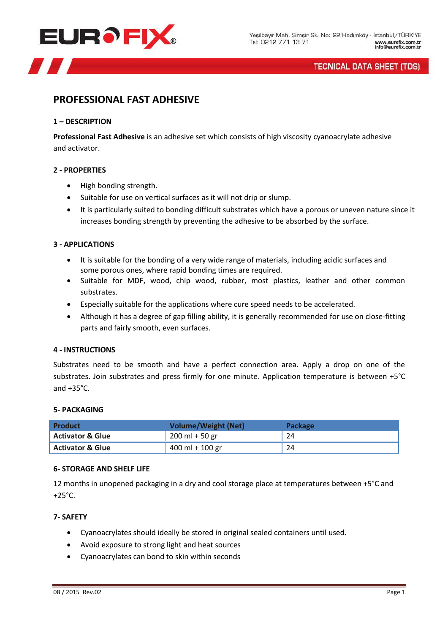

# **TECNICAL DATA SHEET (TDS)**

# **PROFESSIONAL FAST ADHESIVE**

#### **1 – DESCRIPTION**

**Professional Fast Adhesive** is an adhesive set which consists of high viscosity cyanoacrylate adhesive and activator.

## **2 - PROPERTIES**

- High bonding strength.
- Suitable for use on vertical surfaces as it will not drip or slump.
- It is particularly suited to bonding difficult substrates which have a porous or uneven nature since it increases bonding strength by preventing the adhesive to be absorbed by the surface.

## **3 - APPLICATIONS**

- It is suitable for the bonding of a very wide range of materials, including acidic surfaces and some porous ones, where rapid bonding times are required.
- Suitable for MDF, wood, chip wood, rubber, most plastics, leather and other common substrates.
- Especially suitable for the applications where cure speed needs to be accelerated.
- Although it has a degree of gap filling ability, it is generally recommended for use on close-fitting parts and fairly smooth, even surfaces.

#### **4 - INSTRUCTIONS**

Substrates need to be smooth and have a perfect connection area. Apply a drop on one of the substrates. Join substrates and press firmly for one minute. Application temperature is between +5°C and +35°C.

#### **5- PACKAGING**

| Product                     | <b>Volume/Weight (Net)</b>       | <b>Package</b> |
|-----------------------------|----------------------------------|----------------|
| <b>Activator &amp; Glue</b> | $200 \text{ ml} + 50 \text{ gr}$ | 24             |
| <b>Activator &amp; Glue</b> | $400$ ml + 100 gr                | 24             |

#### **6- STORAGE AND SHELF LIFE**

12 months in unopened packaging in a dry and cool storage place at temperatures between +5°C and  $+25^{\circ}$ C.

#### **7- SAFETY**

- Cyanoacrylates should ideally be stored in original sealed containers until used.
- Avoid exposure to strong light and heat sources
- Cyanoacrylates can bond to skin within seconds